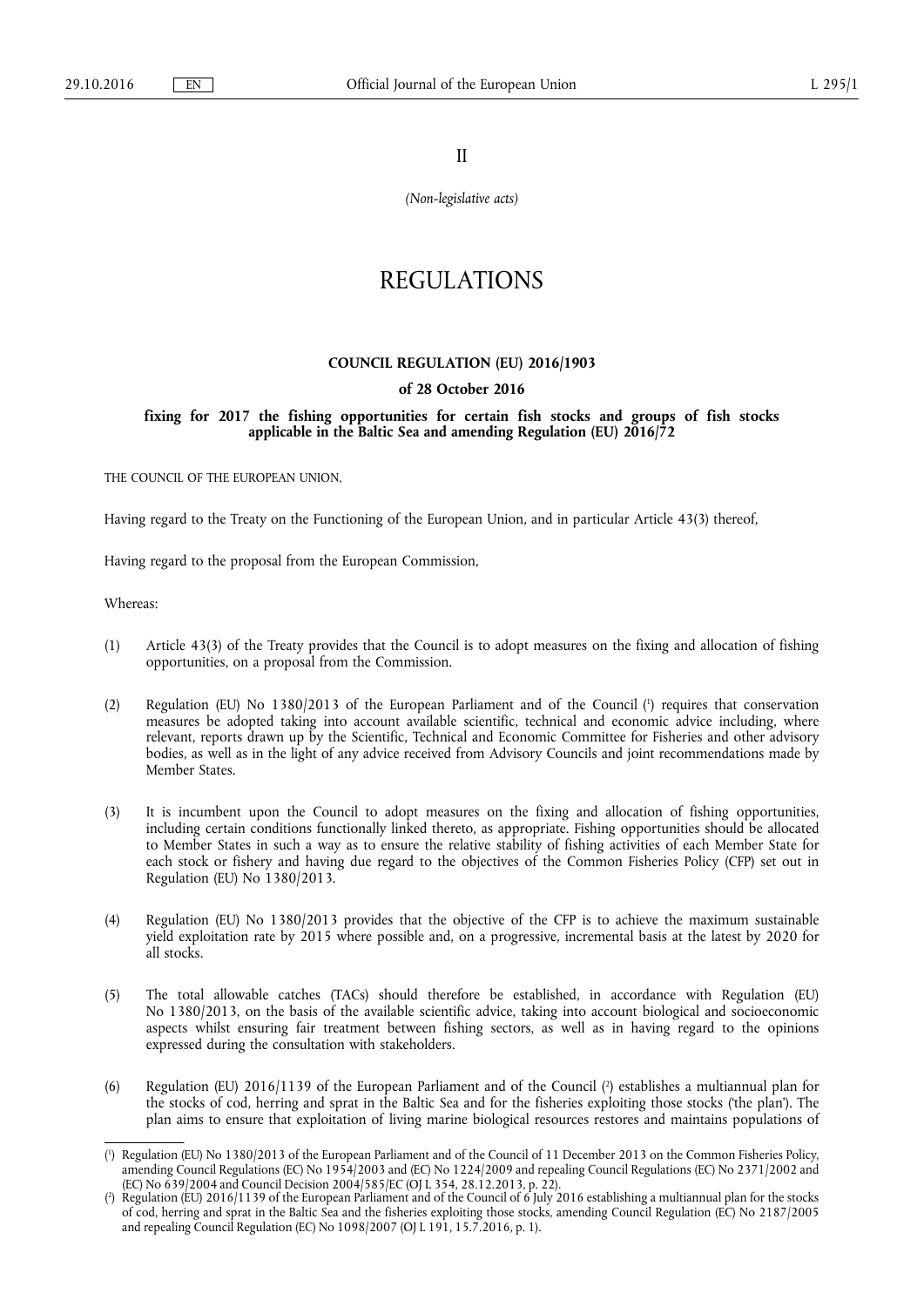II

*(Non-legislative acts)* 

# REGULATIONS

#### **COUNCIL REGULATION (EU) 2016/1903**

# **of 28 October 2016**

# **fixing for 2017 the fishing opportunities for certain fish stocks and groups of fish stocks applicable in the Baltic Sea and amending Regulation (EU) 2016/72**

THE COUNCIL OF THE EUROPEAN UNION,

Having regard to the Treaty on the Functioning of the European Union, and in particular Article 43(3) thereof,

Having regard to the proposal from the European Commission,

Whereas:

- (1) Article 43(3) of the Treaty provides that the Council is to adopt measures on the fixing and allocation of fishing opportunities, on a proposal from the Commission.
- (2) Regulation (EU) No 1380/2013 of the European Parliament and of the Council ( 1 ) requires that conservation measures be adopted taking into account available scientific, technical and economic advice including, where relevant, reports drawn up by the Scientific, Technical and Economic Committee for Fisheries and other advisory bodies, as well as in the light of any advice received from Advisory Councils and joint recommendations made by Member States.
- (3) It is incumbent upon the Council to adopt measures on the fixing and allocation of fishing opportunities, including certain conditions functionally linked thereto, as appropriate. Fishing opportunities should be allocated to Member States in such a way as to ensure the relative stability of fishing activities of each Member State for each stock or fishery and having due regard to the objectives of the Common Fisheries Policy (CFP) set out in Regulation (EU) No 1380/2013.
- (4) Regulation (EU) No 1380/2013 provides that the objective of the CFP is to achieve the maximum sustainable yield exploitation rate by 2015 where possible and, on a progressive, incremental basis at the latest by 2020 for all stocks.
- (5) The total allowable catches (TACs) should therefore be established, in accordance with Regulation (EU) No 1380/2013, on the basis of the available scientific advice, taking into account biological and socioeconomic aspects whilst ensuring fair treatment between fishing sectors, as well as in having regard to the opinions expressed during the consultation with stakeholders.
- (6) Regulation (EU) 2016/1139 of the European Parliament and of the Council ( 2 ) establishes a multiannual plan for the stocks of cod, herring and sprat in the Baltic Sea and for the fisheries exploiting those stocks ('the plan'). The plan aims to ensure that exploitation of living marine biological resources restores and maintains populations of

<sup>(</sup> 1 ) Regulation (EU) No 1380/2013 of the European Parliament and of the Council of 11 December 2013 on the Common Fisheries Policy, amending Council Regulations (EC) No 1954/2003 and (EC) No 1224/2009 and repealing Council Regulations (EC) No 2371/2002 and (EC) No 639/2004 and Council Decision 2004/585/EC (OJ L 354, 28.12.2013, p. 22).

<sup>(</sup> 2 ) Regulation (EU) 2016/1139 of the European Parliament and of the Council of 6 July 2016 establishing a multiannual plan for the stocks of cod, herring and sprat in the Baltic Sea and the fisheries exploiting those stocks, amending Council Regulation (EC) No 2187/2005 and repealing Council Regulation (EC) No 1098/2007 (OJ L 191, 15.7.2016, p. 1).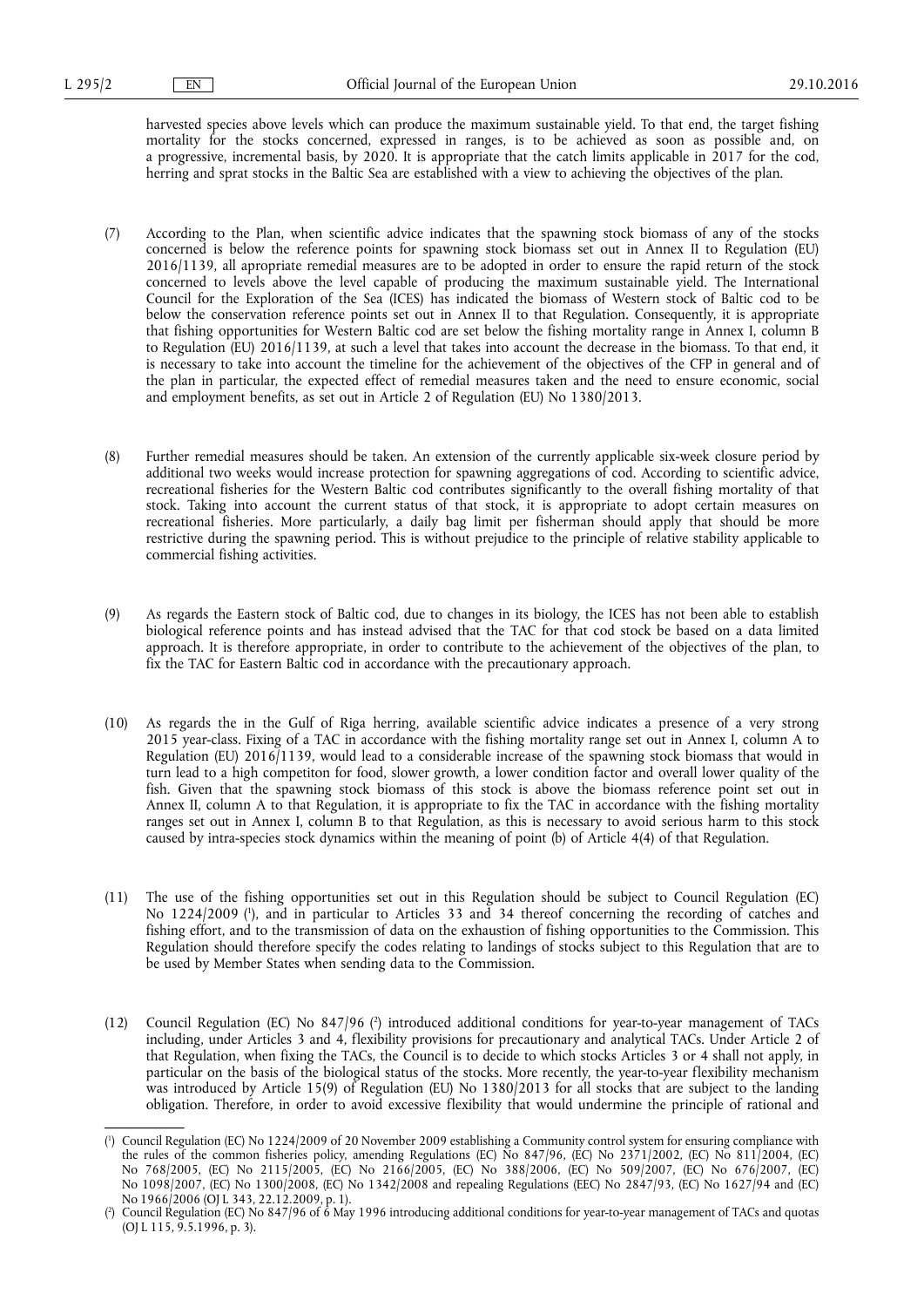harvested species above levels which can produce the maximum sustainable yield. To that end, the target fishing mortality for the stocks concerned, expressed in ranges, is to be achieved as soon as possible and, on a progressive, incremental basis, by 2020. It is appropriate that the catch limits applicable in 2017 for the cod, herring and sprat stocks in the Baltic Sea are established with a view to achieving the objectives of the plan.

- (7) According to the Plan, when scientific advice indicates that the spawning stock biomass of any of the stocks concerned is below the reference points for spawning stock biomass set out in Annex II to Regulation (EU) 2016/1139, all apropriate remedial measures are to be adopted in order to ensure the rapid return of the stock concerned to levels above the level capable of producing the maximum sustainable yield. The International Council for the Exploration of the Sea (ICES) has indicated the biomass of Western stock of Baltic cod to be below the conservation reference points set out in Annex II to that Regulation. Consequently, it is appropriate that fishing opportunities for Western Baltic cod are set below the fishing mortality range in Annex I, column B to Regulation (EU) 2016/1139, at such a level that takes into account the decrease in the biomass. To that end, it is necessary to take into account the timeline for the achievement of the objectives of the CFP in general and of the plan in particular, the expected effect of remedial measures taken and the need to ensure economic, social and employment benefits, as set out in Article 2 of Regulation (EU) No 1380/2013.
- (8) Further remedial measures should be taken. An extension of the currently applicable six-week closure period by additional two weeks would increase protection for spawning aggregations of cod. According to scientific advice, recreational fisheries for the Western Baltic cod contributes significantly to the overall fishing mortality of that stock. Taking into account the current status of that stock, it is appropriate to adopt certain measures on recreational fisheries. More particularly, a daily bag limit per fisherman should apply that should be more restrictive during the spawning period. This is without prejudice to the principle of relative stability applicable to commercial fishing activities.
- (9) As regards the Eastern stock of Baltic cod, due to changes in its biology, the ICES has not been able to establish biological reference points and has instead advised that the TAC for that cod stock be based on a data limited approach. It is therefore appropriate, in order to contribute to the achievement of the objectives of the plan, to fix the TAC for Eastern Baltic cod in accordance with the precautionary approach.
- (10) As regards the in the Gulf of Riga herring, available scientific advice indicates a presence of a very strong 2015 year-class. Fixing of a TAC in accordance with the fishing mortality range set out in Annex I, column A to Regulation (EU) 2016/1139, would lead to a considerable increase of the spawning stock biomass that would in turn lead to a high competiton for food, slower growth, a lower condition factor and overall lower quality of the fish. Given that the spawning stock biomass of this stock is above the biomass reference point set out in Annex II, column A to that Regulation, it is appropriate to fix the TAC in accordance with the fishing mortality ranges set out in Annex I, column B to that Regulation, as this is necessary to avoid serious harm to this stock caused by intra-species stock dynamics within the meaning of point (b) of Article 4(4) of that Regulation.
- (11) The use of the fishing opportunities set out in this Regulation should be subject to Council Regulation (EC) No 1224/2009 ( 1 ), and in particular to Articles 33 and 34 thereof concerning the recording of catches and fishing effort, and to the transmission of data on the exhaustion of fishing opportunities to the Commission. This Regulation should therefore specify the codes relating to landings of stocks subject to this Regulation that are to be used by Member States when sending data to the Commission.
- (12) Council Regulation (EC) No 847/96 (?) introduced additional conditions for year-to-year management of TACs including, under Articles 3 and 4, flexibility provisions for precautionary and analytical TACs. Under Article 2 of that Regulation, when fixing the TACs, the Council is to decide to which stocks Articles 3 or 4 shall not apply, in particular on the basis of the biological status of the stocks. More recently, the year-to-year flexibility mechanism was introduced by Article 15(9) of Regulation (EU) No 1380/2013 for all stocks that are subject to the landing obligation. Therefore, in order to avoid excessive flexibility that would undermine the principle of rational and

<sup>(</sup> 1 ) Council Regulation (EC) No 1224/2009 of 20 November 2009 establishing a Community control system for ensuring compliance with the rules of the common fisheries policy, amending Regulations (EC) No 847/96, (EC) No 2371/2002, (EC) No 811/2004, (EC) No 768/2005, (EC) No 2115/2005, (EC) No 2166/2005, (EC) No 388/2006, (EC) No 509/2007, (EC) No 676/2007, (EC) No 1098/2007, (EC) No 1300/2008, (EC) No 1342/2008 and repealing Regulations (EEC) No 2847/93, (EC) No 1627/94 and (EC) No 1966/2006 (OJ L 343, 22.12.2009, p. 1).

<sup>(</sup> 2 ) Council Regulation (EC) No 847/96 of 6 May 1996 introducing additional conditions for year-to-year management of TACs and quotas (OJ L 115, 9.5.1996, p. 3).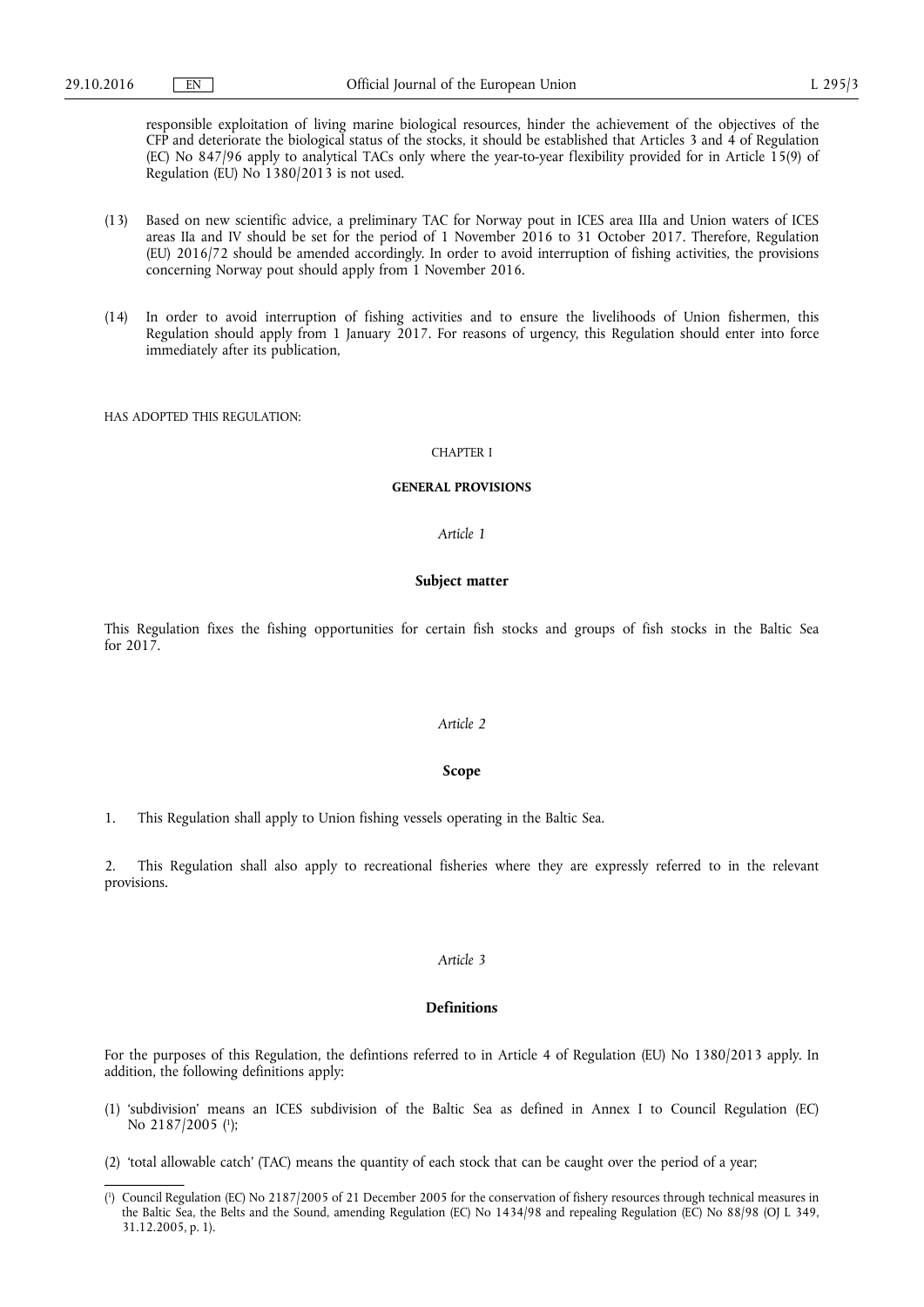responsible exploitation of living marine biological resources, hinder the achievement of the objectives of the CFP and deteriorate the biological status of the stocks, it should be established that Articles 3 and 4 of Regulation (EC) No 847/96 apply to analytical TACs only where the year-to-year flexibility provided for in Article 15(9) of Regulation (EU) No 1380/2013 is not used.

- (13) Based on new scientific advice, a preliminary TAC for Norway pout in ICES area IIIa and Union waters of ICES areas IIa and IV should be set for the period of 1 November 2016 to 31 October 2017. Therefore, Regulation (EU) 2016/72 should be amended accordingly. In order to avoid interruption of fishing activities, the provisions concerning Norway pout should apply from 1 November 2016.
- (14) In order to avoid interruption of fishing activities and to ensure the livelihoods of Union fishermen, this Regulation should apply from 1 January 2017. For reasons of urgency, this Regulation should enter into force immediately after its publication,

HAS ADOPTED THIS REGULATION:

#### CHAPTER I

#### **GENERAL PROVISIONS**

*Article 1* 

#### **Subject matter**

This Regulation fixes the fishing opportunities for certain fish stocks and groups of fish stocks in the Baltic Sea for 2017.

# *Article 2*

# **Scope**

1. This Regulation shall apply to Union fishing vessels operating in the Baltic Sea.

2. This Regulation shall also apply to recreational fisheries where they are expressly referred to in the relevant provisions.

# *Article 3*

#### **Definitions**

For the purposes of this Regulation, the defintions referred to in Article 4 of Regulation (EU) No 1380/2013 apply. In addition, the following definitions apply:

- (1) 'subdivision' means an ICES subdivision of the Baltic Sea as defined in Annex I to Council Regulation (EC) No 2187/2005 ( 1 );
- (2) 'total allowable catch' (TAC) means the quantity of each stock that can be caught over the period of a year;

<sup>(</sup> 1 ) Council Regulation (EC) No 2187/2005 of 21 December 2005 for the conservation of fishery resources through technical measures in the Baltic Sea, the Belts and the Sound, amending Regulation (EC) No 1434/98 and repealing Regulation (EC) No 88/98 (OJ L 349, 31.12.2005, p. 1).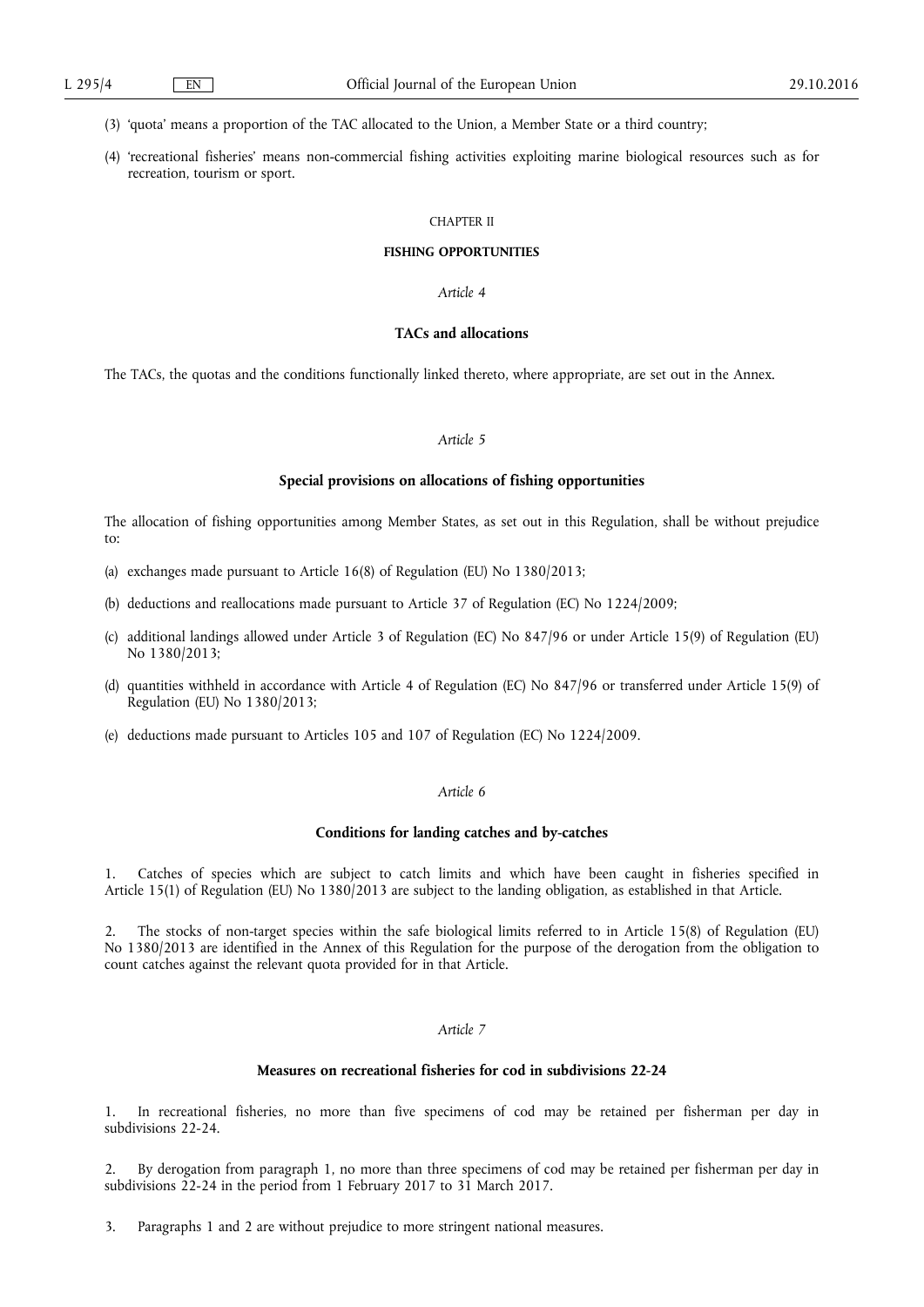(3) 'quota' means a proportion of the TAC allocated to the Union, a Member State or a third country;

(4) 'recreational fisheries' means non-commercial fishing activities exploiting marine biological resources such as for recreation, tourism or sport.

#### CHAPTER II

#### **FISHING OPPORTUNITIES**

#### *Article 4*

# **TACs and allocations**

The TACs, the quotas and the conditions functionally linked thereto, where appropriate, are set out in the Annex.

# *Article 5*

#### **Special provisions on allocations of fishing opportunities**

The allocation of fishing opportunities among Member States, as set out in this Regulation, shall be without prejudice to:

- (a) exchanges made pursuant to Article 16(8) of Regulation (EU) No 1380/2013;
- (b) deductions and reallocations made pursuant to Article 37 of Regulation (EC) No 1224/2009;
- (c) additional landings allowed under Article 3 of Regulation (EC) No 847/96 or under Article 15(9) of Regulation (EU) No 1380/2013;
- (d) quantities withheld in accordance with Article 4 of Regulation (EC) No 847/96 or transferred under Article 15(9) of Regulation (EU) No 1380/2013;
- (e) deductions made pursuant to Articles 105 and 107 of Regulation (EC) No 1224/2009.

### *Article 6*

#### **Conditions for landing catches and by-catches**

1. Catches of species which are subject to catch limits and which have been caught in fisheries specified in Article 15(1) of Regulation (EU) No 1380/2013 are subject to the landing obligation, as established in that Article.

2. The stocks of non-target species within the safe biological limits referred to in Article 15(8) of Regulation (EU) No 1380/2013 are identified in the Annex of this Regulation for the purpose of the derogation from the obligation to count catches against the relevant quota provided for in that Article.

# *Article 7*

# **Measures on recreational fisheries for cod in subdivisions 22-24**

1. In recreational fisheries, no more than five specimens of cod may be retained per fisherman per day in subdivisions 22-24.

2. By derogation from paragraph 1, no more than three specimens of cod may be retained per fisherman per day in subdivisions 22-24 in the period from 1 February 2017 to 31 March 2017.

3. Paragraphs 1 and 2 are without prejudice to more stringent national measures.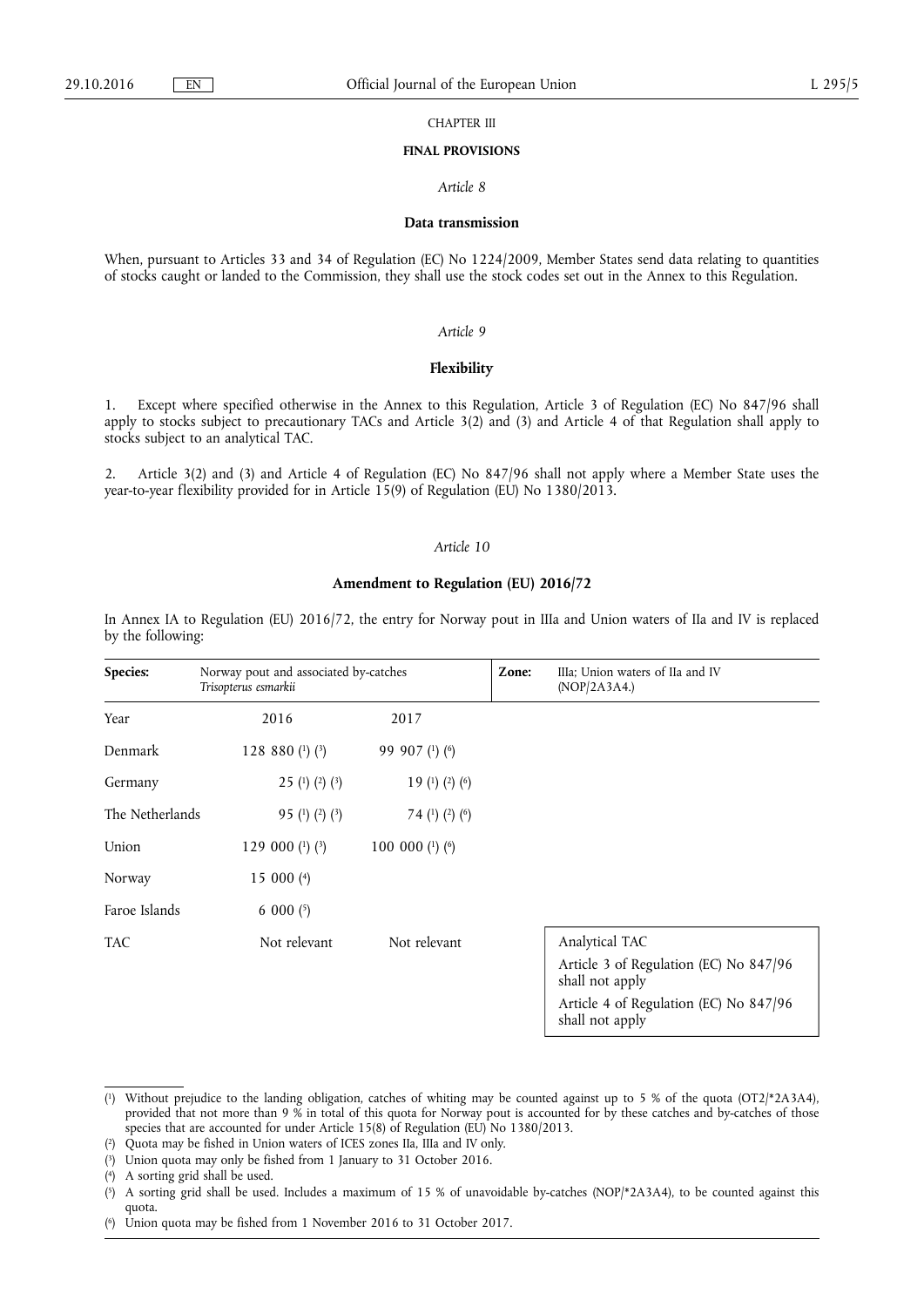CHAPTER III

#### **FINAL PROVISIONS**

# *Article 8*

#### **Data transmission**

When, pursuant to Articles 33 and 34 of Regulation (EC) No 1224/2009, Member States send data relating to quantities of stocks caught or landed to the Commission, they shall use the stock codes set out in the Annex to this Regulation.

# *Article 9*

# **Flexibility**

1. Except where specified otherwise in the Annex to this Regulation, Article 3 of Regulation (EC) No 847/96 shall apply to stocks subject to precautionary TACs and Article 3(2) and (3) and Article 4 of that Regulation shall apply to stocks subject to an analytical TAC.

2. Article 3(2) and (3) and Article 4 of Regulation (EC) No 847/96 shall not apply where a Member State uses the year-to-year flexibility provided for in Article 15(9) of Regulation (EU) No 1380/2013.

#### *Article 10*

#### **Amendment to Regulation (EU) 2016/72**

In Annex IA to Regulation (EU) 2016/72, the entry for Norway pout in IIIa and Union waters of IIa and IV is replaced by the following:

| Species:        | Norway pout and associated by-catches<br>Trisopterus esmarkii |                     | Zone: | IIIa; Union waters of IIa and IV<br>(NOP/2A3A4.)          |
|-----------------|---------------------------------------------------------------|---------------------|-------|-----------------------------------------------------------|
| Year            | 2016                                                          | 2017                |       |                                                           |
| Denmark         | 128 880 $(1)$ $(3)$                                           | 99 907 (1) (6)      |       |                                                           |
| Germany         | 25 (1) (2) (3)                                                | 19 (1) (2) (6)      |       |                                                           |
| The Netherlands | 95 (1) (2) (3)                                                | 74 (1) (2) (6)      |       |                                                           |
| Union           | 129 000 $(1)$ $(3)$                                           | 100 000 $(1)$ $(6)$ |       |                                                           |
| Norway          | 15 000 $(4)$                                                  |                     |       |                                                           |
| Faroe Islands   | 6 000 $(5)$                                                   |                     |       |                                                           |
| <b>TAC</b>      | Not relevant                                                  | Not relevant        |       | Analytical TAC                                            |
|                 |                                                               |                     |       | Article 3 of Regulation (EC) No 847/96<br>shall not apply |
|                 |                                                               |                     |       | Article 4 of Regulation (EC) No 847/96                    |

shall not apply

<sup>(</sup> 1) Without prejudice to the landing obligation, catches of whiting may be counted against up to 5 % of the quota (OT2/\*2A3A4), provided that not more than 9 % in total of this quota for Norway pout is accounted for by these catches and by-catches of those species that are accounted for under Article 15(8) of Regulation (EU) No 1380/2013.

<sup>(</sup> 2) Quota may be fished in Union waters of ICES zones IIa, IIIa and IV only.

<sup>(</sup> 3) Union quota may only be fished from 1 January to 31 October 2016.

 $(4)$ 4) A sorting grid shall be used.

 $(5)$ 5) A sorting grid shall be used. Includes a maximum of 15 % of unavoidable by-catches (NOP/\*2A3A4), to be counted against this quota.

 $(6)$ Union quota may be fished from 1 November 2016 to 31 October 2017.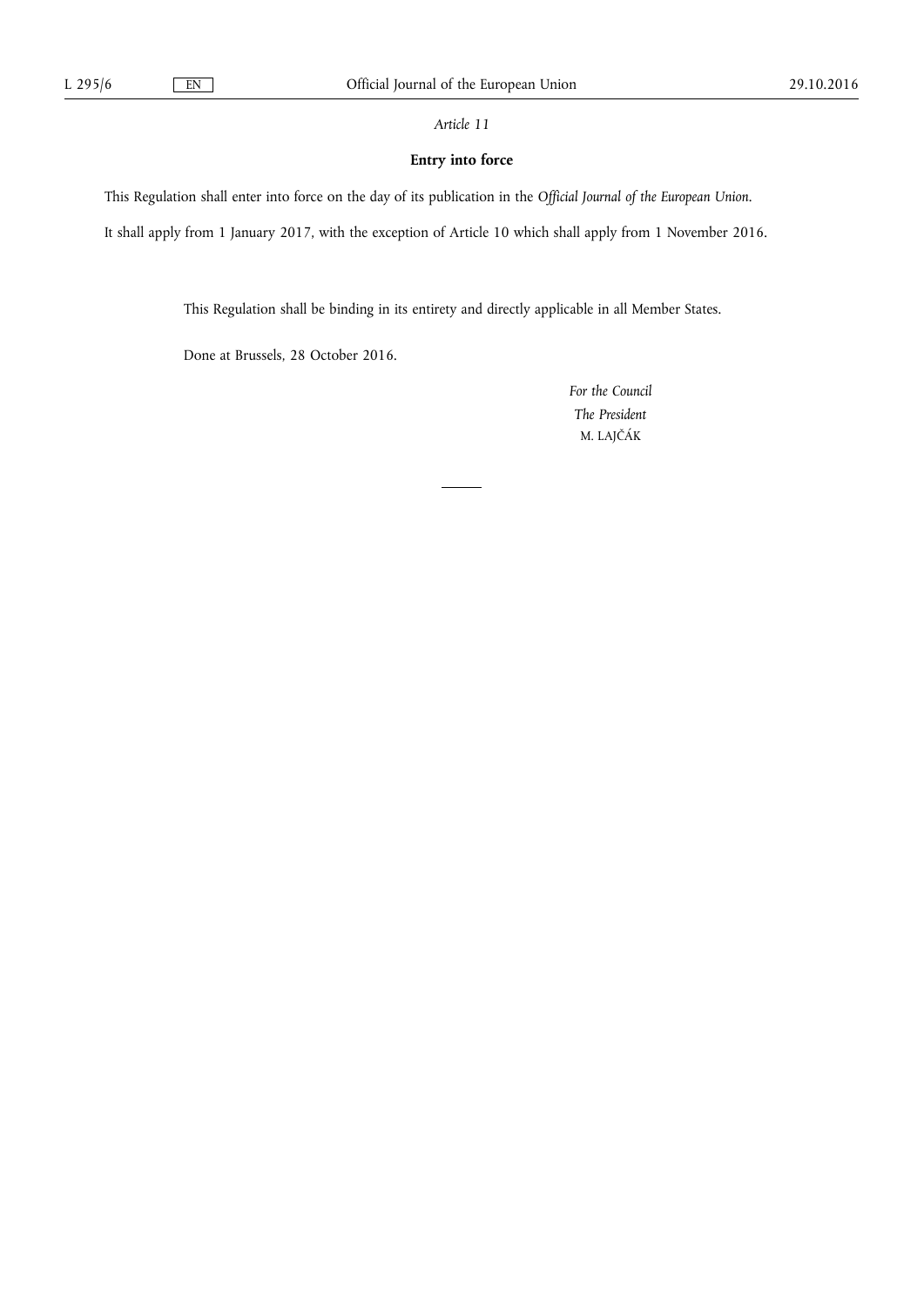*Article 11* 

# **Entry into force**

This Regulation shall enter into force on the day of its publication in the *Official Journal of the European Union*.

It shall apply from 1 January 2017, with the exception of Article 10 which shall apply from 1 November 2016.

This Regulation shall be binding in its entirety and directly applicable in all Member States.

Done at Brussels, 28 October 2016.

*For the Council The President*  M. LAJČÁK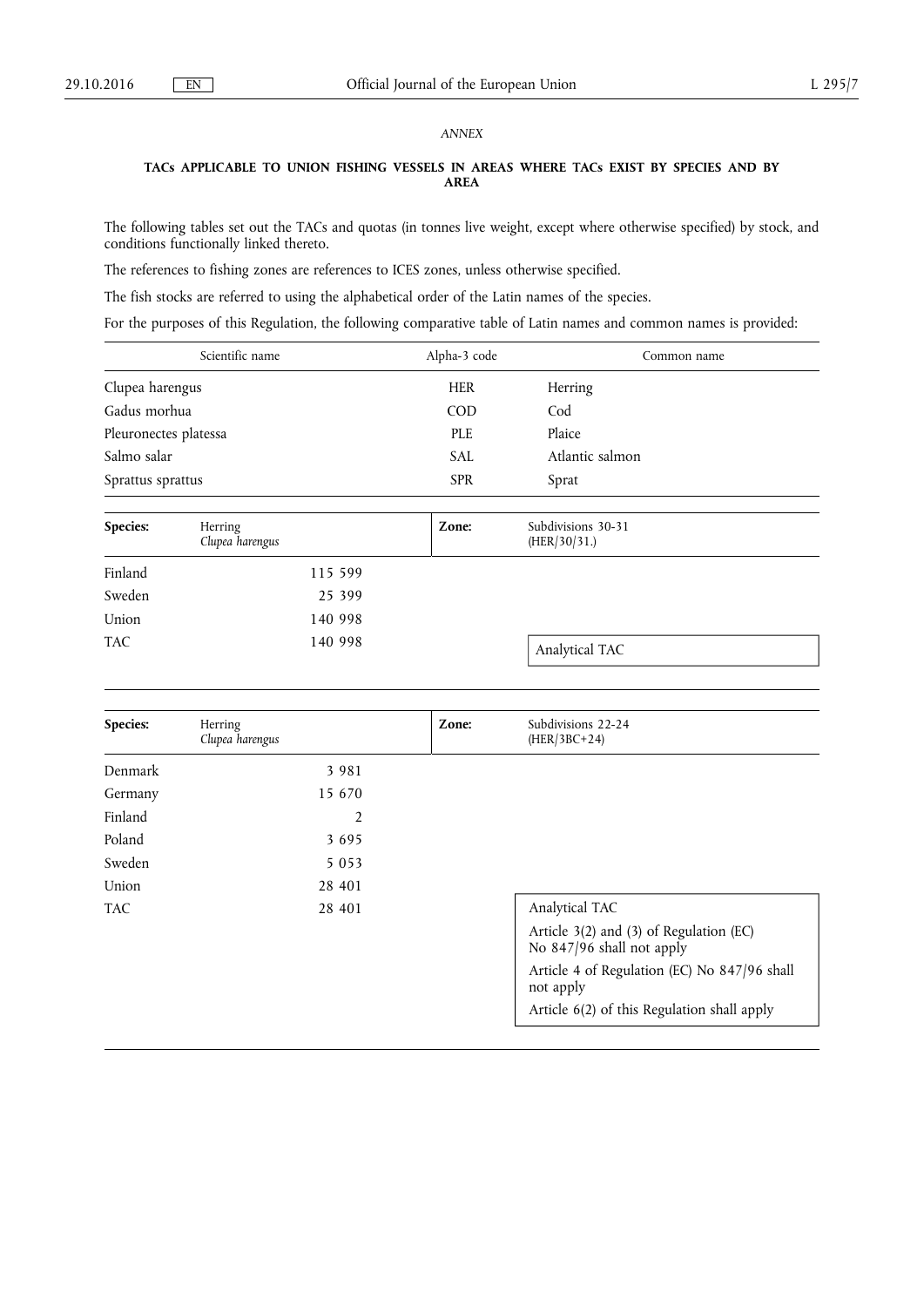# *ANNEX*

# **TACs APPLICABLE TO UNION FISHING VESSELS IN AREAS WHERE TACs EXIST BY SPECIES AND BY AREA**

The following tables set out the TACs and quotas (in tonnes live weight, except where otherwise specified) by stock, and conditions functionally linked thereto.

The references to fishing zones are references to ICES zones, unless otherwise specified.

The fish stocks are referred to using the alphabetical order of the Latin names of the species.

For the purposes of this Regulation, the following comparative table of Latin names and common names is provided:

|                       | Scientific name            | Alpha-3 code | Common name                        |  |
|-----------------------|----------------------------|--------------|------------------------------------|--|
| Clupea harengus       |                            | <b>HER</b>   | Herring                            |  |
| Gadus morhua          |                            | <b>COD</b>   | Cod                                |  |
| Pleuronectes platessa |                            | PLE          | Plaice                             |  |
| Salmo salar           |                            | <b>SAL</b>   | Atlantic salmon                    |  |
| Sprattus sprattus     |                            | <b>SPR</b>   | Sprat                              |  |
|                       |                            |              |                                    |  |
| Species:              | Herring<br>Clupea harengus | Zone:        | Subdivisions 30-31<br>(HER/30/31.) |  |

|            | Clupea harengus | (HER/30/31.)   |
|------------|-----------------|----------------|
| Finland    | 115 599         |                |
| Sweden     | 25 399          |                |
| Union      | 140 998         |                |
| <b>TAC</b> | 140 998         | Analytical TAC |

| Species:   | Herring<br>Clupea harengus | Zone: | Subdivisions 22-24<br>$(HER/3BC+24)$                                 |
|------------|----------------------------|-------|----------------------------------------------------------------------|
| Denmark    | 3 9 8 1                    |       |                                                                      |
| Germany    | 15 670                     |       |                                                                      |
| Finland    | 2                          |       |                                                                      |
| Poland     | 3695                       |       |                                                                      |
| Sweden     | 5 0 5 3                    |       |                                                                      |
| Union      | 28 401                     |       |                                                                      |
| <b>TAC</b> | 28 401                     |       | Analytical TAC                                                       |
|            |                            |       | Article 3(2) and (3) of Regulation (EC)<br>No 847/96 shall not apply |
|            |                            |       | Article 4 of Regulation (EC) No 847/96 shall<br>not apply            |
|            |                            |       | Article 6(2) of this Regulation shall apply                          |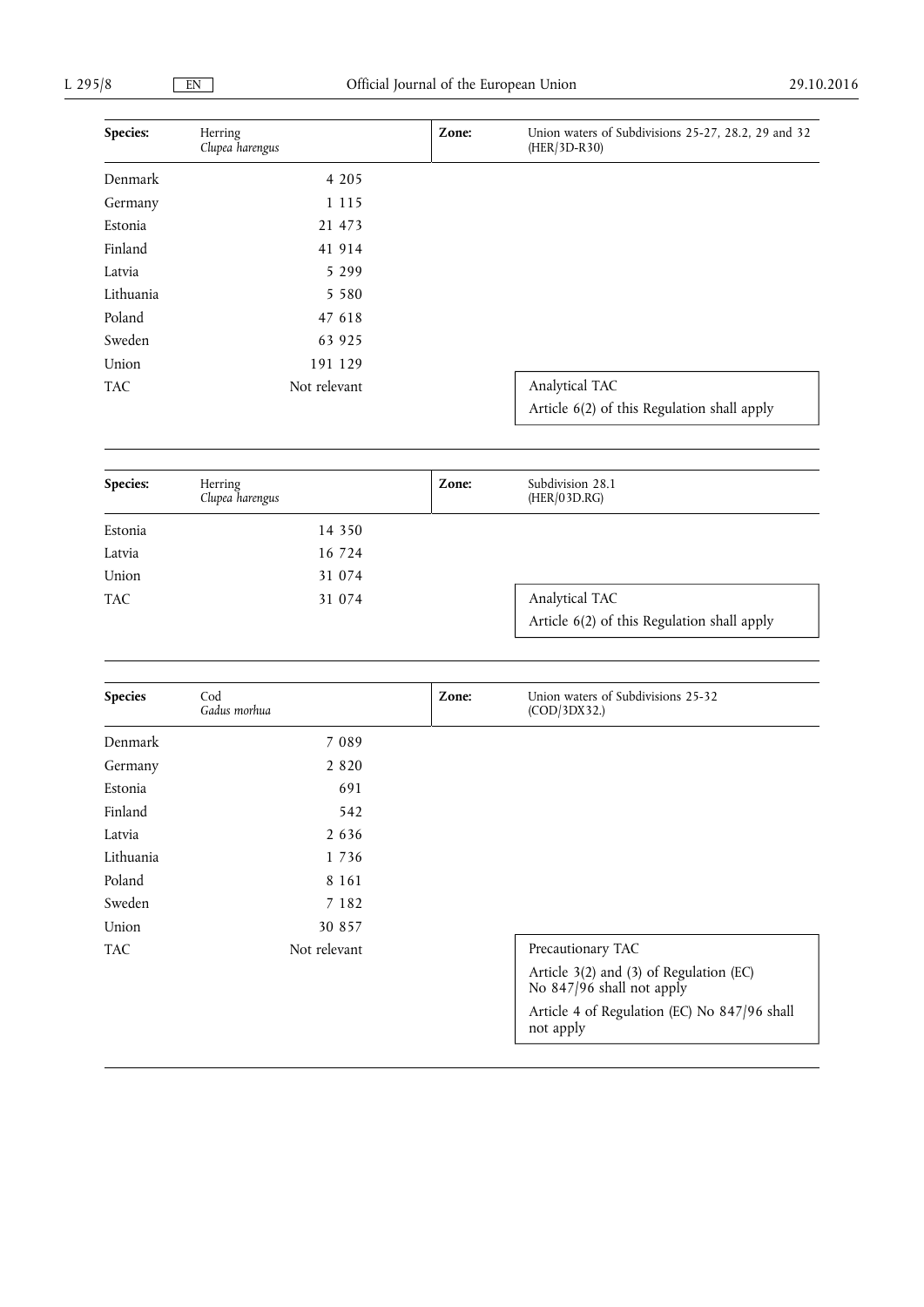| Species:   | Herring<br>Clupea harengus | Zone: | Union waters of Subdivisions 25-27, 28.2, 29 and 32<br>(HER/3D-R30) |
|------------|----------------------------|-------|---------------------------------------------------------------------|
| Denmark    | 4 2 0 5                    |       |                                                                     |
| Germany    | 1 1 1 5                    |       |                                                                     |
| Estonia    | 21 473                     |       |                                                                     |
| Finland    | 41 914                     |       |                                                                     |
| Latvia     | 5 2 9 9                    |       |                                                                     |
| Lithuania  | 5 5 8 0                    |       |                                                                     |
| Poland     | 47 618                     |       |                                                                     |
| Sweden     | 63 925                     |       |                                                                     |
| Union      | 191 129                    |       |                                                                     |
| <b>TAC</b> | Not relevant               |       | Analytical TAC<br>Article 6(2) of this Regulation shall apply       |

| Species: | Herring<br>Clupea harengus | Zone: | Subdivision 28.1<br>(HER/03D.RG)                              |
|----------|----------------------------|-------|---------------------------------------------------------------|
| Estonia  | 14 350                     |       |                                                               |
| Latvia   | 16 724                     |       |                                                               |
| Union    | 31 074                     |       |                                                               |
| TAC.     | 31 074                     |       | Analytical TAC<br>Article 6(2) of this Regulation shall apply |

| <b>Species</b> | Cod<br>Gadus morhua | Zone: | Union waters of Subdivisions 25-32<br>(COD/3DX32.)                   |
|----------------|---------------------|-------|----------------------------------------------------------------------|
| Denmark        | 7 0 8 9             |       |                                                                      |
| Germany        | 2 8 2 0             |       |                                                                      |
| Estonia        | 691                 |       |                                                                      |
| Finland        | 542                 |       |                                                                      |
| Latvia         | 2 6 3 6             |       |                                                                      |
| Lithuania      | 1 7 3 6             |       |                                                                      |
| Poland         | 8 1 6 1             |       |                                                                      |
| Sweden         | 7 1 8 2             |       |                                                                      |
| Union          | 30 857              |       |                                                                      |
| <b>TAC</b>     | Not relevant        |       | Precautionary TAC                                                    |
|                |                     |       | Article 3(2) and (3) of Regulation (EC)<br>No 847/96 shall not apply |
|                |                     |       | Article 4 of Regulation (EC) No 847/96 shall<br>not apply            |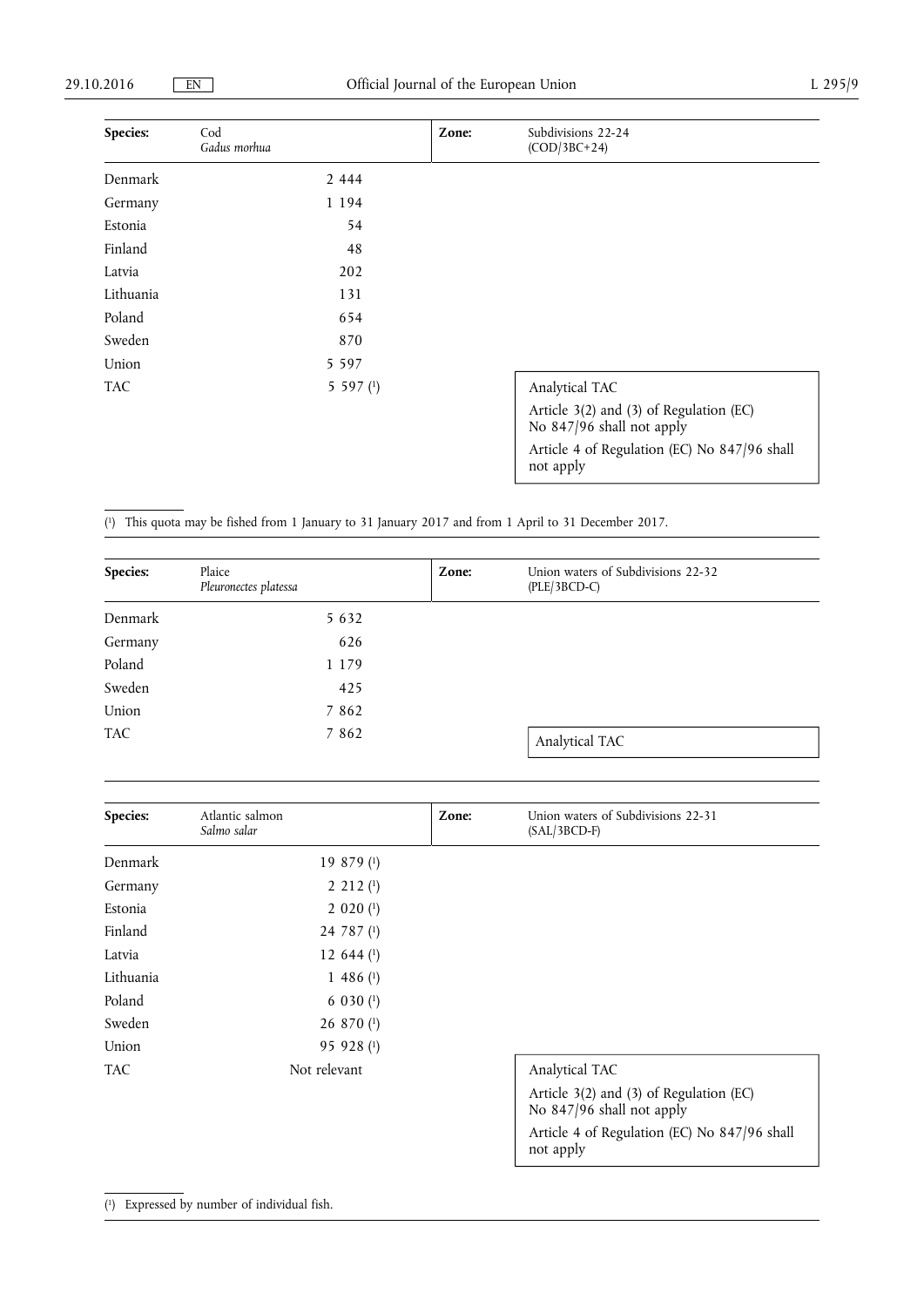| Species:   | Cod<br>Gadus morhua | Zone: | Subdivisions 22-24<br>$(COD/3BC+24)$                                 |
|------------|---------------------|-------|----------------------------------------------------------------------|
| Denmark    | 2 4 4 4             |       |                                                                      |
| Germany    | 1 194               |       |                                                                      |
| Estonia    | 54                  |       |                                                                      |
| Finland    | 48                  |       |                                                                      |
| Latvia     | 202                 |       |                                                                      |
| Lithuania  | 131                 |       |                                                                      |
| Poland     | 654                 |       |                                                                      |
| Sweden     | 870                 |       |                                                                      |
| Union      | 5 5 9 7             |       |                                                                      |
| <b>TAC</b> | 5 5 9 7 $(1)$       |       | Analytical TAC                                                       |
|            |                     |       | Article 3(2) and (3) of Regulation (EC)<br>No 847/96 shall not apply |
|            |                     |       | Article 4 of Regulation (EC) No 847/96 shall<br>not apply            |

( 1) This quota may be fished from 1 January to 31 January 2017 and from 1 April to 31 December 2017.

| Species:   | Plaice<br>Pleuronectes platessa | Zone: | Union waters of Subdivisions 22-32<br>$(PLE/3BCD-C)$ |
|------------|---------------------------------|-------|------------------------------------------------------|
| Denmark    | 5 6 3 2                         |       |                                                      |
| Germany    | 626                             |       |                                                      |
| Poland     | 1 1 7 9                         |       |                                                      |
| Sweden     | 425                             |       |                                                      |
| Union      | 7 8 6 2                         |       |                                                      |
| <b>TAC</b> | 7 8 6 2                         |       | Analytical TAC                                       |

| Species:  | Atlantic salmon<br>Salmo salar | Zone: | Union waters of Subdivisions 22-31<br>$(SAL/3BCD-F)$                 |
|-----------|--------------------------------|-------|----------------------------------------------------------------------|
| Denmark   | $19879$ <sup>(1)</sup>         |       |                                                                      |
| Germany   | $2\;212\;$ <sup>(1)</sup>      |       |                                                                      |
| Estonia   | $2020$ (1)                     |       |                                                                      |
| Finland   | 24 787 (1)                     |       |                                                                      |
| Latvia    | 12 644 $($ 1 $)$               |       |                                                                      |
| Lithuania | $1486$ <sup>(1)</sup>          |       |                                                                      |
| Poland    | $6030$ (1)                     |       |                                                                      |
| Sweden    | 26 870 (1)                     |       |                                                                      |
| Union     | 95 928 (1)                     |       |                                                                      |
| TAC.      | Not relevant                   |       | Analytical TAC                                                       |
|           |                                |       | Article 3(2) and (3) of Regulation (EC)<br>No 847/96 shall not apply |
|           |                                |       | Article 4 of Regulation (EC) No 847/96 shall<br>not apply            |

# ( 1) Expressed by number of individual fish.